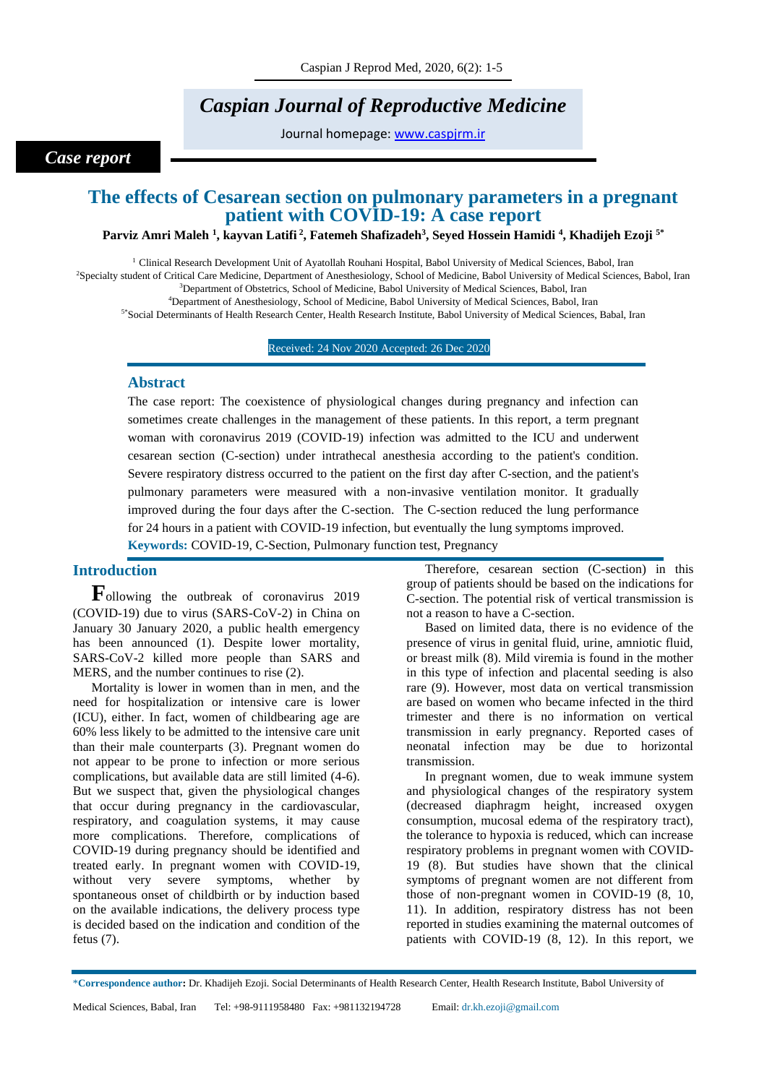# *Caspian Journal of Reproductive Medicine*

Journal homepage: [www.caspjrm.ir](http://www.caspjrm.ir/)

### *Case report*

## **The effects of Cesarean section on pulmonary parameters in a pregnant patient with COVID-19: A case report**

#### **Parviz Amri Maleh <sup>1</sup> , kayvan Latifi <sup>2</sup> , Fatemeh Shafizadeh<sup>3</sup> , Seyed Hossein Hamidi <sup>4</sup> , Khadijeh Ezoji 5\***

 Clinical Research Development Unit of Ayatollah Rouhani Hospital, Babol University of Medical Sciences, Babol, Iran Specialty student of Critical Care Medicine, Department of Anesthesiology, School of Medicine, Babol University of Medical Sciences, Babol, Iran <sup>3</sup>Department of Obstetrics, School of Medicine, Babol University of Medical Sciences, Babol, Iran Department of Anesthesiology, School of Medicine, Babol University of Medical Sciences, Babol, Iran

5\*Social Determinants of Health Research Center, Health Research Institute, Babol University of Medical Sciences, Babal, Iran

#### Received: 24 Nov 2020 Accepted: 26 Dec 2020

#### **Abstract**

The case report: The coexistence of physiological changes during pregnancy and infection can sometimes create challenges in the management of these patients. In this report, a term pregnant woman with coronavirus 2019 (COVID-19) infection was admitted to the ICU and underwent cesarean section (C-section) under intrathecal anesthesia according to the patient's condition. Severe respiratory distress occurred to the patient on the first day after C-section, and the patient's pulmonary parameters were measured with a non-invasive ventilation monitor. It gradually improved during the four days after the C-section. The C-section reduced the lung performance for 24 hours in a patient with COVID-19 infection, but eventually the lung symptoms improved. **Keywords:** COVID-19, C-Section, Pulmonary function test, Pregnancy

### **Introduction**

**F**ollowing the outbreak of coronavirus 2019 (COVID-19) due to virus (SARS-CoV-2) in China on January 30 January 2020, a public health emergency has been announced (1). Despite lower mortality, SARS-CoV-2 killed more people than SARS and MERS, and the number continues to rise (2).

Mortality is lower in women than in men, and the need for hospitalization or intensive care is lower (ICU), either. In fact, women of childbearing age are 60% less likely to be admitted to the intensive care unit than their male counterparts (3). Pregnant women do not appear to be prone to infection or more serious complications, but available data are still limited (4-6). But we suspect that, given the physiological changes that occur during pregnancy in the cardiovascular, respiratory, and coagulation systems, it may cause more complications. Therefore, complications of COVID-19 during pregnancy should be identified and treated early. In pregnant women with COVID-19, without very severe symptoms, whether by spontaneous onset of childbirth or by induction based on the available indications, the delivery process type is decided based on the indication and condition of the fetus (7).

Therefore, cesarean section (C-section) in this group of patients should be based on the indications for C-section. The potential risk of vertical transmission is not a reason to have a C-section.

Based on limited data, there is no evidence of the presence of virus in genital fluid, urine, amniotic fluid, or breast milk (8). Mild viremia is found in the mother in this type of infection and placental seeding is also rare (9). However, most data on vertical transmission are based on women who became infected in the third trimester and there is no information on vertical transmission in early pregnancy. Reported cases of neonatal infection may be due to horizontal transmission.

In pregnant women, due to weak immune system and physiological changes of the respiratory system (decreased diaphragm height, increased oxygen consumption, mucosal edema of the respiratory tract), the tolerance to hypoxia is reduced, which can increase respiratory problems in pregnant women with COVID-19 (8). But studies have shown that the clinical symptoms of pregnant women are not different from those of non-pregnant women in COVID-19 (8, 10, 11). In addition, respiratory distress has not been reported in studies examining the maternal outcomes of patients with COVID-19 (8, 12). In this report, we

<sup>\*</sup>**Correspondence author:** Dr. Khadijeh Ezoji. Social Determinants of Health Research Center, Health Research Institute, Babol University of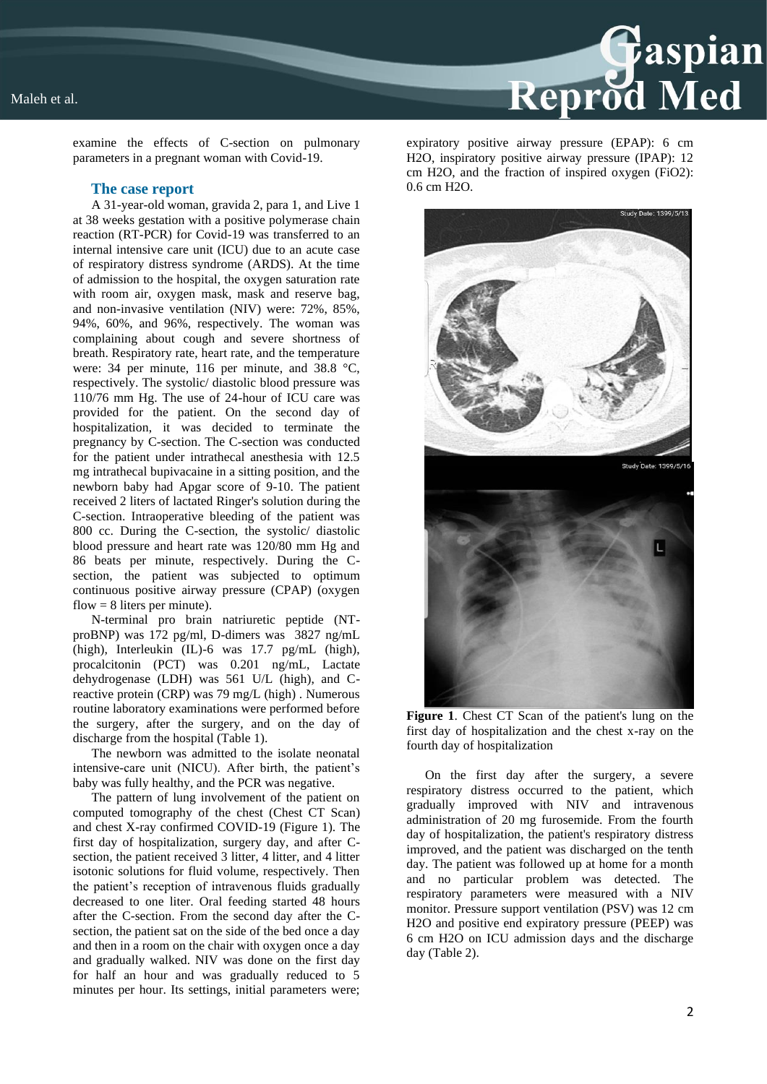

examine the effects of C-section on pulmonary parameters in a pregnant woman with Covid-19.

#### **The case report**

A 31-year-old woman, gravida 2, para 1, and Live 1 at 38 weeks gestation with a positive polymerase chain reaction (RT-PCR) for Covid-19 was transferred to an internal intensive care unit (ICU) due to an acute case of respiratory distress syndrome (ARDS). At the time of admission to the hospital, the oxygen saturation rate with room air, oxygen mask, mask and reserve bag, and non-invasive ventilation (NIV) were: 72%, 85%, 94%, 60%, and 96%, respectively. The woman was complaining about cough and severe shortness of breath. Respiratory rate, heart rate, and the temperature were: 34 per minute, 116 per minute, and 38.8 °C, respectively. The systolic/ diastolic blood pressure was 110/76 mm Hg. The use of 24-hour of ICU care was provided for the patient. On the second day of hospitalization, it was decided to terminate the pregnancy by C-section. The C-section was conducted for the patient under intrathecal anesthesia with 12.5 mg intrathecal bupivacaine in a sitting position, and the newborn baby had Apgar score of 9-10. The patient received 2 liters of lactated Ringer's solution during the C-section. Intraoperative bleeding of the patient was 800 cc. During the C-section, the systolic/ diastolic blood pressure and heart rate was 120/80 mm Hg and 86 beats per minute, respectively. During the Csection, the patient was subjected to optimum continuous positive airway pressure (CPAP) (oxygen flow  $= 8$  liters per minute).

N-terminal pro brain natriuretic peptide (NTproBNP) was 172 pg/ml, D-dimers was 3827 ng/mL (high), Interleukin (IL)-6 was 17.7 pg/mL (high), procalcitonin (PCT) was 0.201 ng/mL, Lactate dehydrogenase (LDH) was 561 U/L (high), and Creactive protein (CRP) was 79 mg/L (high) . Numerous routine laboratory examinations were performed before the surgery, after the surgery, and on the day of discharge from the hospital (Table 1).

The newborn was admitted to the isolate neonatal intensive-care unit (NICU). After birth, the patient's baby was fully healthy, and the PCR was negative.

The pattern of lung involvement of the patient on computed tomography of the chest (Chest CT Scan) and chest X-ray confirmed COVID-19 (Figure 1). The first day of hospitalization, surgery day, and after Csection, the patient received 3 litter, 4 litter, and 4 litter isotonic solutions for fluid volume, respectively. Then the patient's reception of intravenous fluids gradually decreased to one liter. Oral feeding started 48 hours after the C-section. From the second day after the Csection, the patient sat on the side of the bed once a day and then in a room on the chair with oxygen once a day and gradually walked. NIV was done on the first day for half an hour and was gradually reduced to 5 minutes per hour. Its settings, initial parameters were;

expiratory positive airway pressure (EPAP): 6 cm H2O, inspiratory positive airway pressure (IPAP): 12 cm H2O, and the fraction of inspired oxygen (FiO2): 0.6 cm H2O.



**Figure 1**. Chest CT Scan of the patient's lung on the first day of hospitalization and the chest x-ray on the fourth day of hospitalization

On the first day after the surgery, a severe respiratory distress occurred to the patient, which gradually improved with NIV and intravenous administration of 20 mg furosemide. From the fourth day of hospitalization, the patient's respiratory distress improved, and the patient was discharged on the tenth day. The patient was followed up at home for a month and no particular problem was detected. The respiratory parameters were measured with a NIV monitor. Pressure support ventilation (PSV) was 12 cm H2O and positive end expiratory pressure (PEEP) was 6 cm H2O on ICU admission days and the discharge day (Table 2).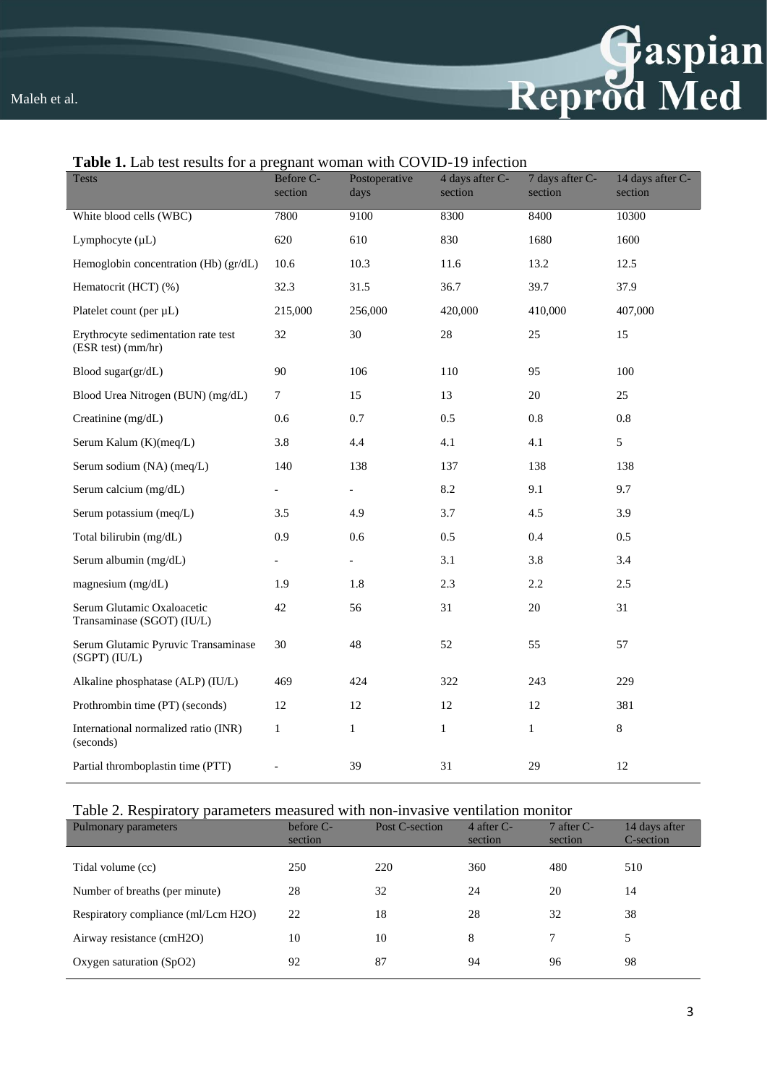

| <b>Tests</b>                                              | Before C-<br>section     | Postoperative<br>days    | 4 days after C-<br>section | 7 days after C-<br>section | 14 days after C-<br>section |
|-----------------------------------------------------------|--------------------------|--------------------------|----------------------------|----------------------------|-----------------------------|
| White blood cells (WBC)                                   | 7800                     | 9100                     | 8300                       | 8400                       | 10300                       |
| Lymphocyte (µL)                                           | 620                      | 610                      | 830                        | 1680                       | 1600                        |
| Hemoglobin concentration (Hb) (gr/dL)                     | 10.6                     | 10.3                     | 11.6                       | 13.2                       | 12.5                        |
| Hematocrit (HCT) (%)                                      | 32.3                     | 31.5                     | 36.7                       | 39.7                       | 37.9                        |
| Platelet count (per µL)                                   | 215,000                  | 256,000                  | 420,000                    | 410,000                    | 407,000                     |
| Erythrocyte sedimentation rate test<br>(ESR test) (mm/hr) | 32                       | 30                       | $28\,$                     | 25                         | 15                          |
| Blood sugar(gr/dL)                                        | 90                       | 106                      | 110                        | 95                         | 100                         |
| Blood Urea Nitrogen (BUN) (mg/dL)                         | $\tau$                   | 15                       | 13                         | 20                         | 25                          |
| Creatinine (mg/dL)                                        | 0.6                      | 0.7                      | 0.5                        | 0.8                        | $0.8\,$                     |
| Serum Kalum (K)(meq/L)                                    | 3.8                      | 4.4                      | 4.1                        | 4.1                        | 5                           |
| Serum sodium (NA) (meq/L)                                 | 140                      | 138                      | 137                        | 138                        | 138                         |
| Serum calcium (mg/dL)                                     | $\overline{a}$           | $\overline{\phantom{a}}$ | 8.2                        | 9.1                        | 9.7                         |
| Serum potassium (meq/L)                                   | 3.5                      | 4.9                      | 3.7                        | 4.5                        | 3.9                         |
| Total bilirubin (mg/dL)                                   | 0.9                      | 0.6                      | 0.5                        | 0.4                        | 0.5                         |
| Serum albumin (mg/dL)                                     | $\overline{\phantom{a}}$ | $\overline{\phantom{0}}$ | 3.1                        | 3.8                        | 3.4                         |
| magnesium (mg/dL)                                         | 1.9                      | 1.8                      | 2.3                        | 2.2                        | 2.5                         |
| Serum Glutamic Oxaloacetic<br>Transaminase (SGOT) (IU/L)  | 42                       | 56                       | 31                         | 20                         | 31                          |
| Serum Glutamic Pyruvic Transaminase<br>(SGPT) (IU/L)      | 30                       | 48                       | 52                         | 55                         | 57                          |
| Alkaline phosphatase (ALP) (IU/L)                         | 469                      | 424                      | 322                        | 243                        | 229                         |
| Prothrombin time (PT) (seconds)                           | 12                       | 12                       | 12                         | 12                         | 381                         |
| International normalized ratio (INR)<br>(seconds)         | $\mathbf{1}$             | $\mathbf{1}$             | $\mathbf{1}$               | $\mathbf{1}$               | $\,8\,$                     |
| Partial thromboplastin time (PTT)                         |                          | 39                       | 31                         | 29                         | 12                          |

### **Table 1.** Lab test results for a pregnant woman with COVID-19 infection

### Table 2. Respiratory parameters measured with non-invasive ventilation monitor

| Pulmonary parameters                | before C- | Post C-section | 4 after $C$ - | $7$ after C- | 14 days after |
|-------------------------------------|-----------|----------------|---------------|--------------|---------------|
|                                     | section   |                | section       | section      | C-section     |
| Tidal volume (cc)                   | 250       | 220            | 360           | 480          | 510           |
| Number of breaths (per minute)      | 28        | 32             | 24            | 20           | 14            |
| Respiratory compliance (ml/Lcm H2O) | 22        | 18             | 28            | 32           | 38            |
| Airway resistance (cmH2O)           | 10        | 10             | 8             |              | 5             |
| Oxygen saturation $(SpO2)$          | 92        | 87             | 94            | 96           | 98            |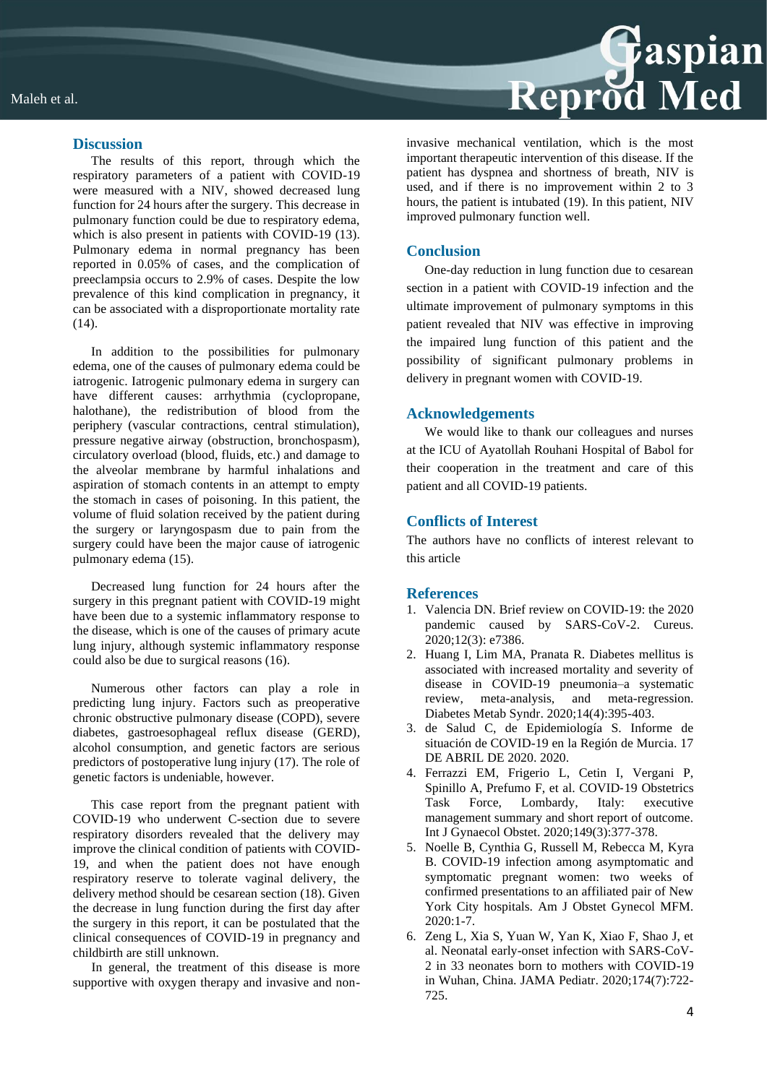### **Discussion**

The results of this report, through which the respiratory parameters of a patient with COVID-19 were measured with a NIV, showed decreased lung function for 24 hours after the surgery. This decrease in pulmonary function could be due to respiratory edema, which is also present in patients with COVID-19 (13). Pulmonary edema in normal pregnancy has been reported in 0.05% of cases, and the complication of preeclampsia occurs to 2.9% of cases. Despite the low prevalence of this kind complication in pregnancy, it can be associated with a disproportionate mortality rate (14).

In addition to the possibilities for pulmonary edema, one of the causes of pulmonary edema could be iatrogenic. Iatrogenic pulmonary edema in surgery can have different causes: arrhythmia (cyclopropane, halothane), the redistribution of blood from the periphery (vascular contractions, central stimulation), pressure negative airway (obstruction, bronchospasm), circulatory overload (blood, fluids, etc.) and damage to the alveolar membrane by harmful inhalations and aspiration of stomach contents in an attempt to empty the stomach in cases of poisoning. In this patient, the volume of fluid solation received by the patient during the surgery or laryngospasm due to pain from the surgery could have been the major cause of iatrogenic pulmonary edema (15).

Decreased lung function for 24 hours after the surgery in this pregnant patient with COVID-19 might have been due to a systemic inflammatory response to the disease, which is one of the causes of primary acute lung injury, although systemic inflammatory response could also be due to surgical reasons (16).

Numerous other factors can play a role in predicting lung injury. Factors such as preoperative chronic obstructive pulmonary disease (COPD), severe diabetes, gastroesophageal reflux disease (GERD), alcohol consumption, and genetic factors are serious predictors of postoperative lung injury (17). The role of genetic factors is undeniable, however.

This case report from the pregnant patient with COVID-19 who underwent C-section due to severe respiratory disorders revealed that the delivery may improve the clinical condition of patients with COVID-19, and when the patient does not have enough respiratory reserve to tolerate vaginal delivery, the delivery method should be cesarean section (18). Given the decrease in lung function during the first day after the surgery in this report, it can be postulated that the clinical consequences of COVID-19 in pregnancy and childbirth are still unknown.

In general, the treatment of this disease is more supportive with oxygen therapy and invasive and non-



invasive mechanical ventilation, which is the most important therapeutic intervention of this disease. If the patient has dyspnea and shortness of breath, NIV is used, and if there is no improvement within 2 to 3 hours, the patient is intubated (19). In this patient, NIV improved pulmonary function well.

### **Conclusion**

One-day reduction in lung function due to cesarean section in a patient with COVID-19 infection and the ultimate improvement of pulmonary symptoms in this patient revealed that NIV was effective in improving the impaired lung function of this patient and the possibility of significant pulmonary problems in delivery in pregnant women with COVID-19.

### **Acknowledgements**

We would like to thank our colleagues and nurses at the ICU of Ayatollah Rouhani Hospital of Babol for their cooperation in the treatment and care of this patient and all COVID-19 patients.

### **Conflicts of Interest**

The authors have no conflicts of interest relevant to this article

### **References**

- 1. Valencia DN. Brief review on COVID-19: the 2020 pandemic caused by SARS-CoV-2. Cureus. 2020;12(3): e7386.
- 2. Huang I, Lim MA, Pranata R. Diabetes mellitus is associated with increased mortality and severity of disease in COVID-19 pneumonia–a systematic review, meta-analysis, and meta-regression. Diabetes Metab Syndr. 2020;14(4):395-403.
- 3. de Salud C, de Epidemiología S. Informe de situación de COVID-19 en la Región de Murcia. 17 DE ABRIL DE 2020. 2020.
- 4. Ferrazzi EM, Frigerio L, Cetin I, Vergani P, Spinillo A, Prefumo F, et al. COVID‐19 Obstetrics Task Force, Lombardy, Italy: executive management summary and short report of outcome. Int J Gynaecol Obstet. 2020;149(3):377-378.
- 5. Noelle B, Cynthia G, Russell M, Rebecca M, Kyra B. COVID-19 infection among asymptomatic and symptomatic pregnant women: two weeks of confirmed presentations to an affiliated pair of New York City hospitals. Am J Obstet Gynecol MFM. 2020:1-7.
- 6. Zeng L, Xia S, Yuan W, Yan K, Xiao F, Shao J, et al. Neonatal early-onset infection with SARS-CoV-2 in 33 neonates born to mothers with COVID-19 in Wuhan, China. JAMA Pediatr. 2020;174(7):722- 725.